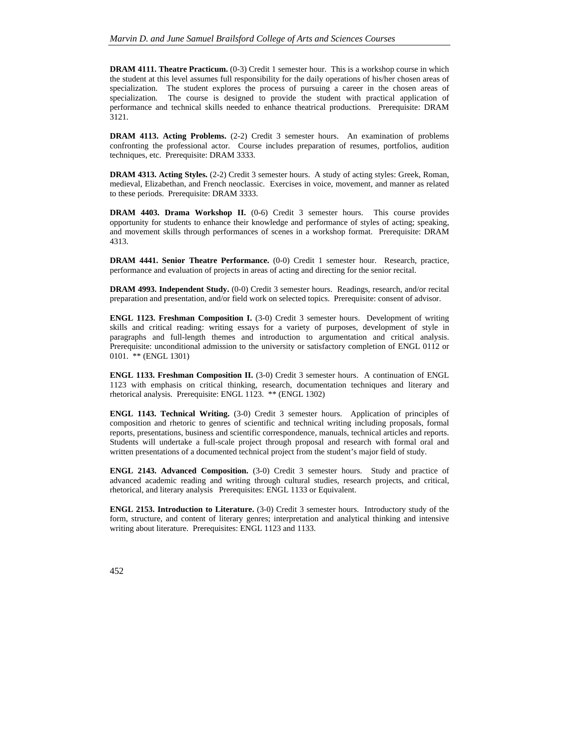**DRAM 4111. Theatre Practicum.** (0-3) Credit 1 semester hour. This is a workshop course in which the student at this level assumes full responsibility for the daily operations of his/her chosen areas of specialization. The student explores the process of pursuing a career in the chosen areas of specialization. The course is designed to provide the student with practical application of performance and technical skills needed to enhance theatrical productions. Prerequisite: DRAM 3121.

**DRAM 4113. Acting Problems.** (2-2) Credit 3 semester hours. An examination of problems confronting the professional actor. Course includes preparation of resumes, portfolios, audition techniques, etc. Prerequisite: DRAM 3333.

**DRAM 4313. Acting Styles.** (2-2) Credit 3 semester hours. A study of acting styles: Greek, Roman, medieval, Elizabethan, and French neoclassic. Exercises in voice, movement, and manner as related to these periods. Prerequisite: DRAM 3333.

**DRAM 4403. Drama Workshop II.** (0-6) Credit 3 semester hours. This course provides opportunity for students to enhance their knowledge and performance of styles of acting; speaking, and movement skills through performances of scenes in a workshop format. Prerequisite: DRAM 4313.

**DRAM 4441. Senior Theatre Performance.** (0-0) Credit 1 semester hour. Research, practice, performance and evaluation of projects in areas of acting and directing for the senior recital.

**DRAM 4993. Independent Study.** (0-0) Credit 3 semester hours. Readings, research, and/or recital preparation and presentation, and/or field work on selected topics. Prerequisite: consent of advisor.

**ENGL 1123. Freshman Composition I.** (3-0) Credit 3 semester hours. Development of writing skills and critical reading: writing essays for a variety of purposes, development of style in paragraphs and full-length themes and introduction to argumentation and critical analysis. Prerequisite: unconditional admission to the university or satisfactory completion of ENGL 0112 or 0101. \*\* (ENGL 1301)

**ENGL 1133. Freshman Composition II.** (3-0) Credit 3 semester hours. A continuation of ENGL 1123 with emphasis on critical thinking, research, documentation techniques and literary and rhetorical analysis. Prerequisite: ENGL 1123. \*\* (ENGL 1302)

**ENGL 1143. Technical Writing.** (3-0) Credit 3 semester hours. Application of principles of composition and rhetoric to genres of scientific and technical writing including proposals, formal reports, presentations, business and scientific correspondence, manuals, technical articles and reports. Students will undertake a full-scale project through proposal and research with formal oral and written presentations of a documented technical project from the student's major field of study.

**ENGL 2143. Advanced Composition.** (3-0) Credit 3 semester hours. Study and practice of advanced academic reading and writing through cultural studies, research projects, and critical, rhetorical, and literary analysis Prerequisites: ENGL 1133 or Equivalent.

**ENGL 2153. Introduction to Literature.** (3-0) Credit 3 semester hours. Introductory study of the form, structure, and content of literary genres; interpretation and analytical thinking and intensive writing about literature. Prerequisites: ENGL 1123 and 1133.

452